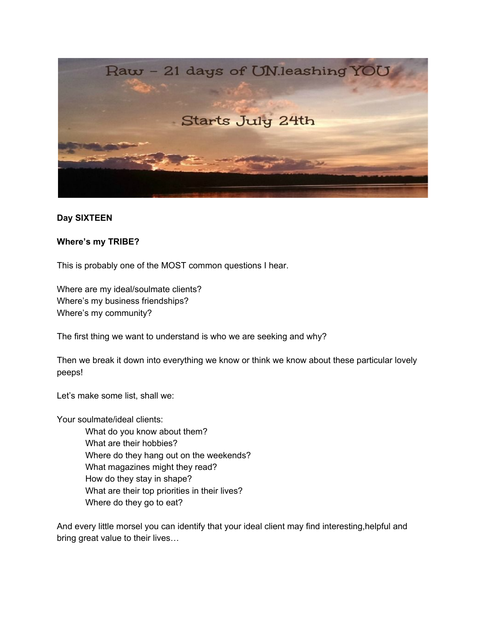

## **Day SIXTEEN**

## **Where's my TRIBE?**

This is probably one of the MOST common questions I hear.

Where are my ideal/soulmate clients? Where's my business friendships? Where's my community?

The first thing we want to understand is who we are seeking and why?

Then we break it down into everything we know or think we know about these particular lovely peeps!

Let's make some list, shall we:

Your soulmate/ideal clients:

What do you know about them? What are their hobbies? Where do they hang out on the weekends? What magazines might they read? How do they stay in shape? What are their top priorities in their lives? Where do they go to eat?

And every little morsel you can identify that your ideal client may find interesting,helpful and bring great value to their lives…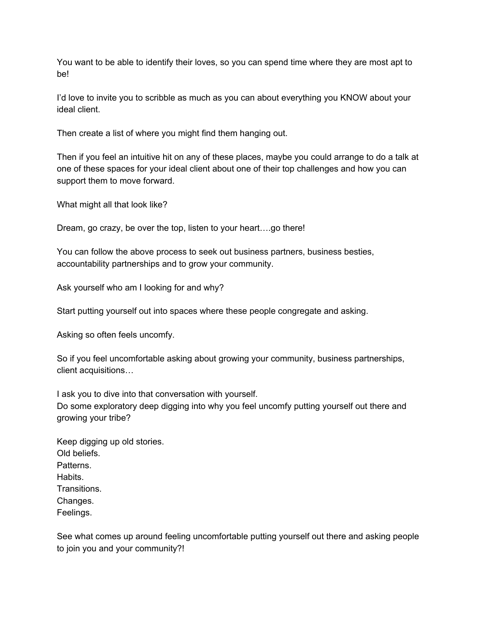You want to be able to identify their loves, so you can spend time where they are most apt to be!

I'd love to invite you to scribble as much as you can about everything you KNOW about your ideal client.

Then create a list of where you might find them hanging out.

Then if you feel an intuitive hit on any of these places, maybe you could arrange to do a talk at one of these spaces for your ideal client about one of their top challenges and how you can support them to move forward.

What might all that look like?

Dream, go crazy, be over the top, listen to your heart….go there!

You can follow the above process to seek out business partners, business besties, accountability partnerships and to grow your community.

Ask yourself who am I looking for and why?

Start putting yourself out into spaces where these people congregate and asking.

Asking so often feels uncomfy.

So if you feel uncomfortable asking about growing your community, business partnerships, client acquisitions…

I ask you to dive into that conversation with yourself. Do some exploratory deep digging into why you feel uncomfy putting yourself out there and growing your tribe?

| Keep digging up old stories. |  |
|------------------------------|--|
| Old beliefs.                 |  |
| Patterns.                    |  |
| Habits.                      |  |
| Transitions.                 |  |
| Changes.                     |  |
| Feelings.                    |  |
|                              |  |

See what comes up around feeling uncomfortable putting yourself out there and asking people to join you and your community?!